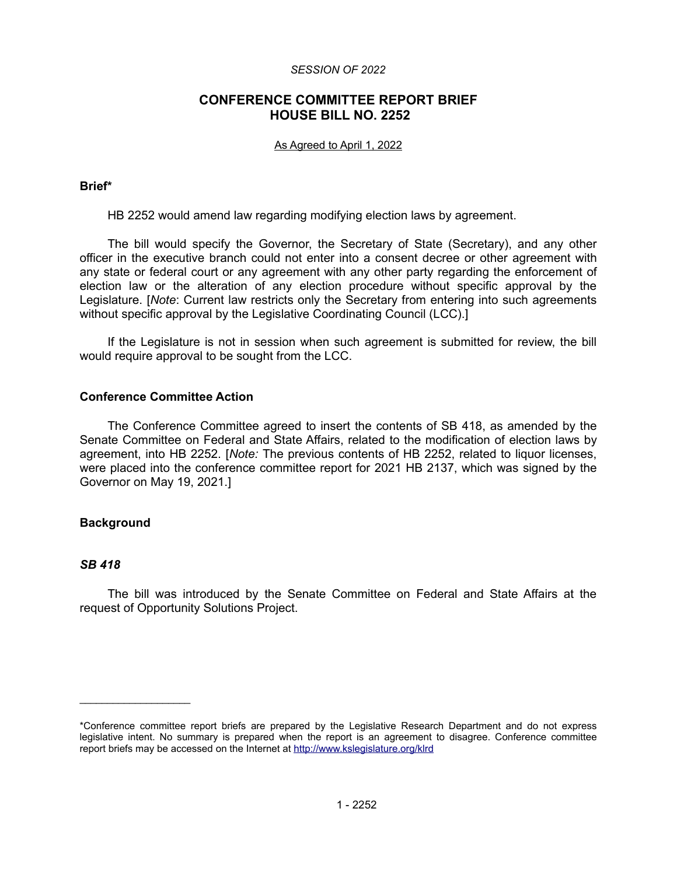#### *SESSION OF 2022*

# **CONFERENCE COMMITTEE REPORT BRIEF HOUSE BILL NO. 2252**

#### As Agreed to April 1, 2022

# **Brief\***

HB 2252 would amend law regarding modifying election laws by agreement.

The bill would specify the Governor, the Secretary of State (Secretary), and any other officer in the executive branch could not enter into a consent decree or other agreement with any state or federal court or any agreement with any other party regarding the enforcement of election law or the alteration of any election procedure without specific approval by the Legislature. [*Note*: Current law restricts only the Secretary from entering into such agreements without specific approval by the Legislative Coordinating Council (LCC).]

If the Legislature is not in session when such agreement is submitted for review, the bill would require approval to be sought from the LCC.

# **Conference Committee Action**

The Conference Committee agreed to insert the contents of SB 418, as amended by the Senate Committee on Federal and State Affairs, related to the modification of election laws by agreement, into HB 2252. [*Note:* The previous contents of HB 2252, related to liquor licenses, were placed into the conference committee report for 2021 HB 2137, which was signed by the Governor on May 19, 2021.]

# **Background**

 $\mathcal{L}=\mathcal{L}^{\mathcal{L}}$  , where  $\mathcal{L}^{\mathcal{L}}$  , we have the set of the set of the set of the set of the set of the set of the set of the set of the set of the set of the set of the set of the set of the set of the set of

# *SB 418*

The bill was introduced by the Senate Committee on Federal and State Affairs at the request of Opportunity Solutions Project.

<sup>\*</sup>Conference committee report briefs are prepared by the Legislative Research Department and do not express legislative intent. No summary is prepared when the report is an agreement to disagree. Conference committee report briefs may be accessed on the Internet at<http://www.kslegislature.org/klrd>